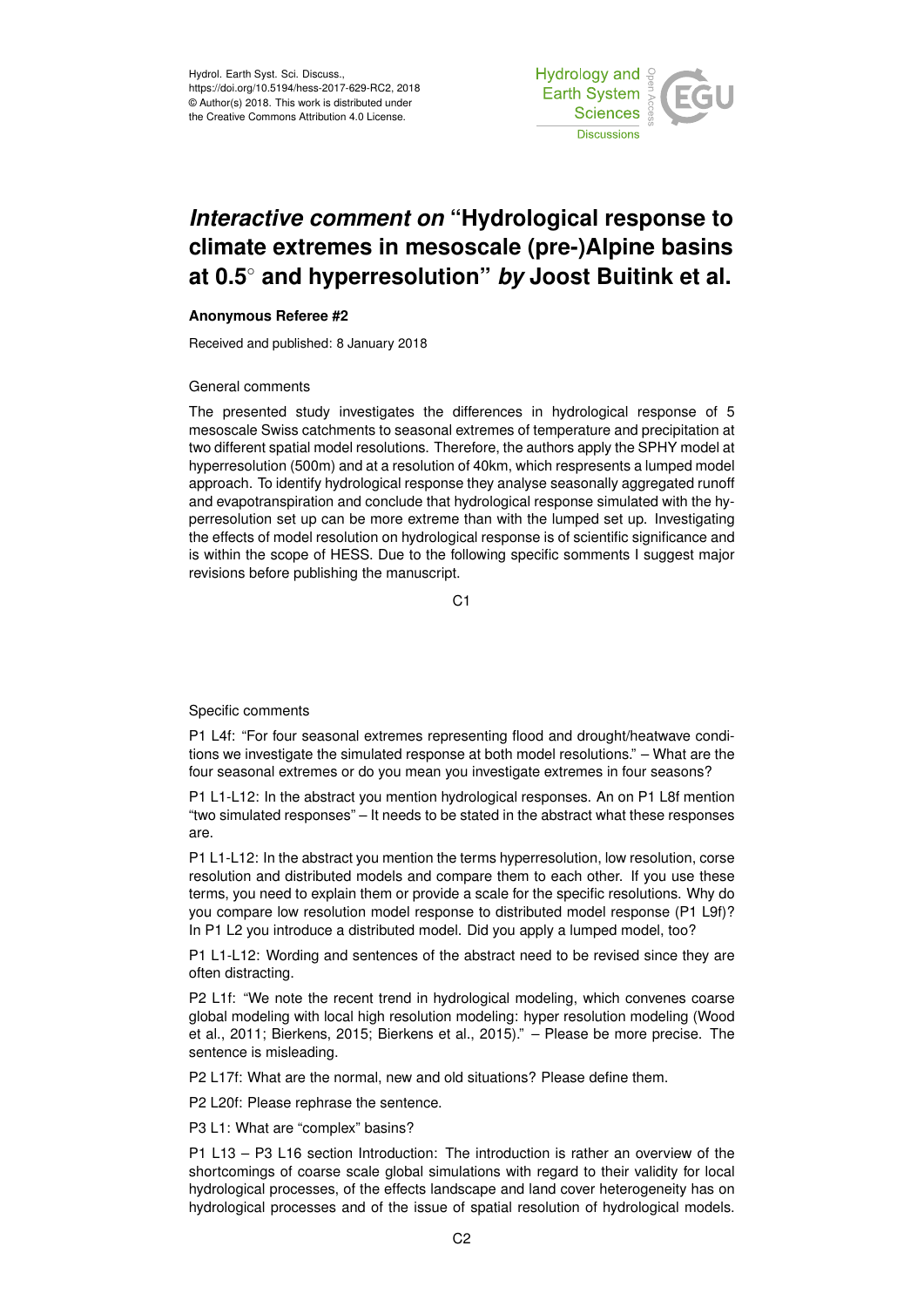Hydrol. Earth Syst. Sci. Discuss., https://doi.org/10.5194/hess-2017-629-RC2, 2018 © Author(s) 2018. This work is distributed under the Creative Commons Attribution 4.0 License.



## *Interactive comment on* **"Hydrological response to climate extremes in mesoscale (pre-)Alpine basins at 0.5**◦ **and hyperresolution"** *by* **Joost Buitink et al.**

## **Anonymous Referee #2**

Received and published: 8 January 2018

## General comments

The presented study investigates the differences in hydrological response of 5 mesoscale Swiss catchments to seasonal extremes of temperature and precipitation at two different spatial model resolutions. Therefore, the authors apply the SPHY model at hyperresolution (500m) and at a resolution of 40km, which respresents a lumped model approach. To identify hydrological response they analyse seasonally aggregated runoff and evapotranspiration and conclude that hydrological response simulated with the hyperresolution set up can be more extreme than with the lumped set up. Investigating the effects of model resolution on hydrological response is of scientific significance and is within the scope of HESS. Due to the following specific somments I suggest major revisions before publishing the manuscript.

C<sub>1</sub>

## Specific comments

P1 L4f: "For four seasonal extremes representing flood and drought/heatwave conditions we investigate the simulated response at both model resolutions." – What are the four seasonal extremes or do you mean you investigate extremes in four seasons?

P1 L1-L12: In the abstract you mention hydrological responses. An on P1 L8f mention "two simulated responses" – It needs to be stated in the abstract what these responses are.

P1 L1-L12: In the abstract you mention the terms hyperresolution, low resolution, corse resolution and distributed models and compare them to each other. If you use these terms, you need to explain them or provide a scale for the specific resolutions. Why do you compare low resolution model response to distributed model response (P1 L9f)? In P1 L2 you introduce a distributed model. Did you apply a lumped model, too?

P1 L1-L12: Wording and sentences of the abstract need to be revised since they are often distracting.

P2 L1f: "We note the recent trend in hydrological modeling, which convenes coarse global modeling with local high resolution modeling: hyper resolution modeling (Wood et al., 2011; Bierkens, 2015; Bierkens et al., 2015)." – Please be more precise. The sentence is misleading.

P2 L17f: What are the normal, new and old situations? Please define them.

P2 L20f: Please rephrase the sentence.

P3 L1: What are "complex" basins?

P1 L13 – P3 L16 section Introduction: The introduction is rather an overview of the shortcomings of coarse scale global simulations with regard to their validity for local hydrological processes, of the effects landscape and land cover heterogeneity has on hydrological processes and of the issue of spatial resolution of hydrological models.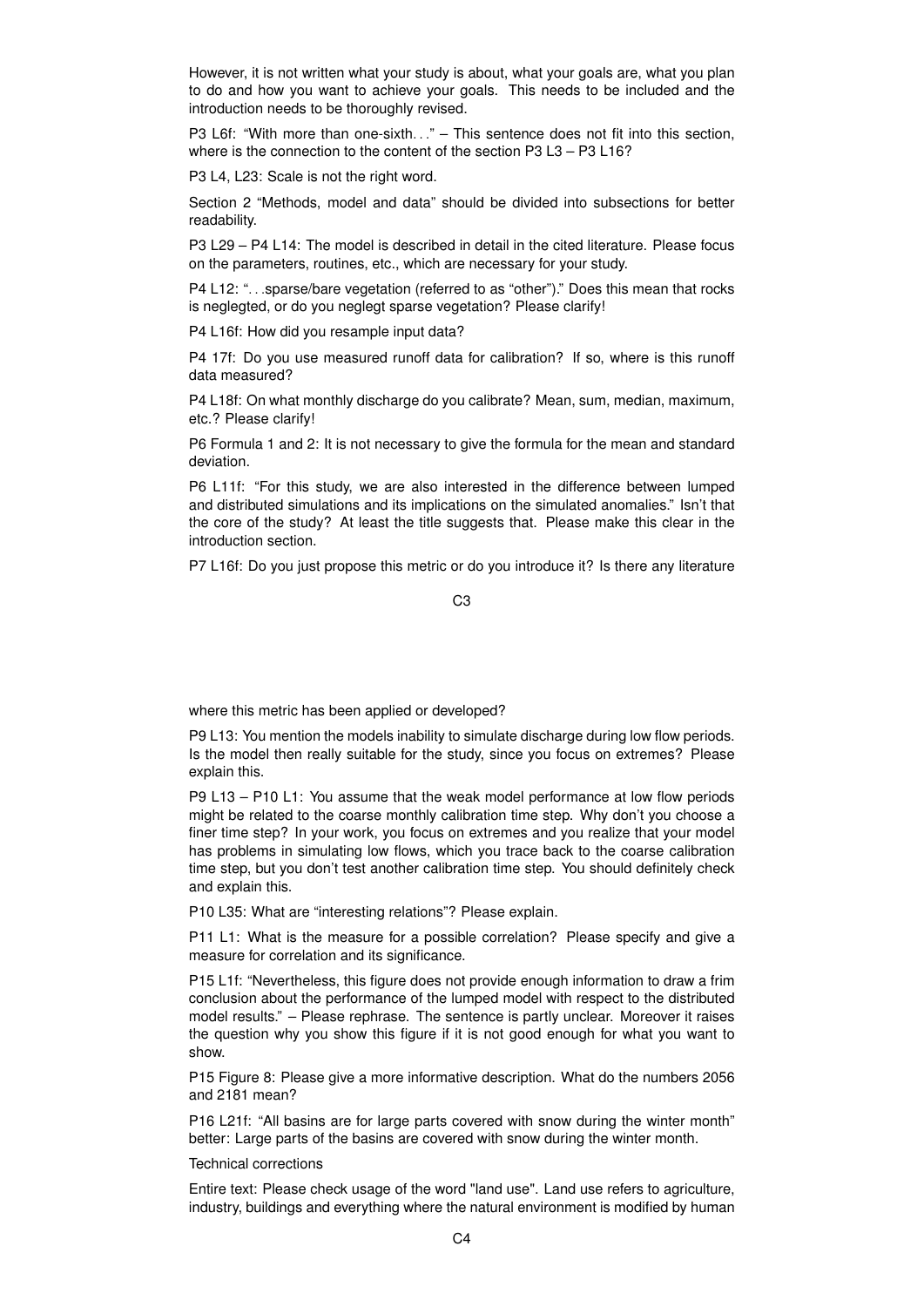However, it is not written what your study is about, what your goals are, what you plan to do and how you want to achieve your goals. This needs to be included and the introduction needs to be thoroughly revised.

P3 L6f: "With more than one-sixth..." – This sentence does not fit into this section. where is the connection to the content of the section P3 L3 – P3 L16?

P3 L4, L23: Scale is not the right word.

Section 2 "Methods, model and data" should be divided into subsections for better readability.

P3 L29 – P4 L14: The model is described in detail in the cited literature. Please focus on the parameters, routines, etc., which are necessary for your study.

P4 L12: "... sparse/bare vegetation (referred to as "other")." Does this mean that rocks is neglegted, or do you neglegt sparse vegetation? Please clarify!

P4 L16f: How did you resample input data?

P4 17f: Do you use measured runoff data for calibration? If so, where is this runoff data measured?

P4 L18f: On what monthly discharge do you calibrate? Mean, sum, median, maximum, etc.? Please clarify!

P6 Formula 1 and 2: It is not necessary to give the formula for the mean and standard deviation.

P6 L11f: "For this study, we are also interested in the difference between lumped and distributed simulations and its implications on the simulated anomalies." Isn't that the core of the study? At least the title suggests that. Please make this clear in the introduction section.

P7 L16f: Do you just propose this metric or do you introduce it? Is there any literature

C3

where this metric has been applied or developed?

P9 L13: You mention the models inability to simulate discharge during low flow periods. Is the model then really suitable for the study, since you focus on extremes? Please explain this.

P9 L13 – P10 L1: You assume that the weak model performance at low flow periods might be related to the coarse monthly calibration time step. Why don't you choose a finer time step? In your work, you focus on extremes and you realize that your model has problems in simulating low flows, which you trace back to the coarse calibration time step, but you don't test another calibration time step. You should definitely check and explain this.

P10 L35: What are "interesting relations"? Please explain.

P11 L1: What is the measure for a possible correlation? Please specify and give a measure for correlation and its significance.

P15 L1f: "Nevertheless, this figure does not provide enough information to draw a frim conclusion about the performance of the lumped model with respect to the distributed model results." – Please rephrase. The sentence is partly unclear. Moreover it raises the question why you show this figure if it is not good enough for what you want to show.

P15 Figure 8: Please give a more informative description. What do the numbers 2056 and 2181 mean?

P16 L21f: "All basins are for large parts covered with snow during the winter month" better: Large parts of the basins are covered with snow during the winter month.

Technical corrections

Entire text: Please check usage of the word "land use". Land use refers to agriculture, industry, buildings and everything where the natural environment is modified by human